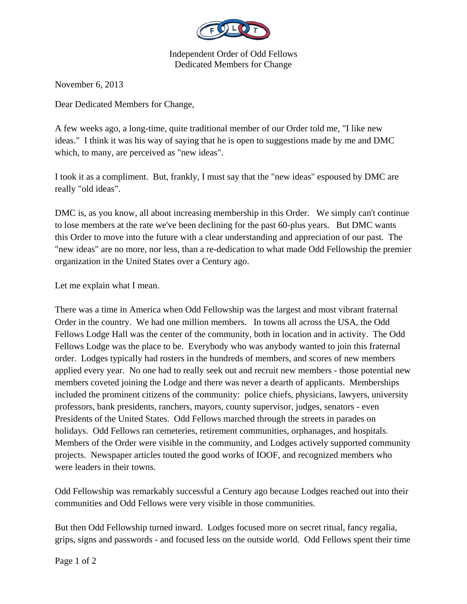

Independent Order of Odd Fellows Dedicated Members for Change

November 6, 2013

Dear Dedicated Members for Change,

A few weeks ago, a long-time, quite traditional member of our Order told me, "I like new ideas." I think it was his way of saying that he is open to suggestions made by me and DMC which, to many, are perceived as "new ideas".

I took it as a compliment. But, frankly, I must say that the "new ideas" espoused by DMC are really "old ideas".

DMC is, as you know, all about increasing membership in this Order. We simply can't continue to lose members at the rate we've been declining for the past 60-plus years. But DMC wants this Order to move into the future with a clear understanding and appreciation of our past. The "new ideas" are no more, nor less, than a re-dedication to what made Odd Fellowship the premier organization in the United States over a Century ago.

Let me explain what I mean.

There was a time in America when Odd Fellowship was the largest and most vibrant fraternal Order in the country. We had one million members. In towns all across the USA, the Odd Fellows Lodge Hall was the center of the community, both in location and in activity. The Odd Fellows Lodge was the place to be. Everybody who was anybody wanted to join this fraternal order. Lodges typically had rosters in the hundreds of members, and scores of new members applied every year. No one had to really seek out and recruit new members - those potential new members coveted joining the Lodge and there was never a dearth of applicants. Memberships included the prominent citizens of the community: police chiefs, physicians, lawyers, university professors, bank presidents, ranchers, mayors, county supervisor, judges, senators - even Presidents of the United States. Odd Fellows marched through the streets in parades on holidays. Odd Fellows ran cemeteries, retirement communities, orphanages, and hospitals. Members of the Order were visible in the community, and Lodges actively supported community projects. Newspaper articles touted the good works of IOOF, and recognized members who were leaders in their towns.

Odd Fellowship was remarkably successful a Century ago because Lodges reached out into their communities and Odd Fellows were very visible in those communities.

But then Odd Fellowship turned inward. Lodges focused more on secret ritual, fancy regalia, grips, signs and passwords - and focused less on the outside world. Odd Fellows spent their time